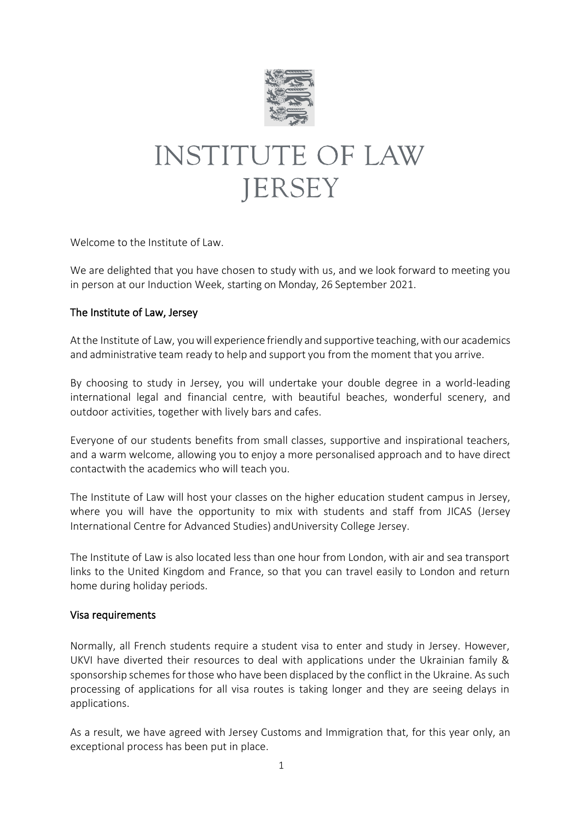

# **INSTITUTE OF LAW JERSEY**

Welcome to the Institute of Law.

We are delighted that you have chosen to study with us, and we look forward to meeting you in person at our Induction Week, starting on Monday, 26 September 2021.

#### The Institute of Law, Jersey

At the Institute of Law, you will experience friendly and supportive teaching, with our academics and administrative team ready to help and support you from the moment that you arrive.

By choosing to study in Jersey, you will undertake your double degree in a world-leading international legal and financial centre, with beautiful beaches, wonderful scenery, and outdoor activities, together with lively bars and cafes.

Everyone of our students benefits from small classes, supportive and inspirational teachers, and a warm welcome, allowing you to enjoy a more personalised approach and to have direct contactwith the academics who will teach you.

The Institute of Law will host your classes on the higher education student campus in Jersey, where you will have the opportunity to mix with students and staff from JICAS (Jersey International Centre for Advanced Studies) andUniversity College Jersey.

The Institute of Law is also located less than one hour from London, with air and sea transport links to the United Kingdom and France, so that you can travel easily to London and return home during holiday periods.

#### Visa requirements

Normally, all French students require a student visa to enter and study in Jersey. However, UKVI have diverted their resources to deal with applications under the Ukrainian family & sponsorship schemes for those who have been displaced by the conflict in the Ukraine. As such processing of applications for all visa routes is taking longer and they are seeing delays in applications.

As a result, we have agreed with Jersey Customs and Immigration that, for this year only, an exceptional process has been put in place.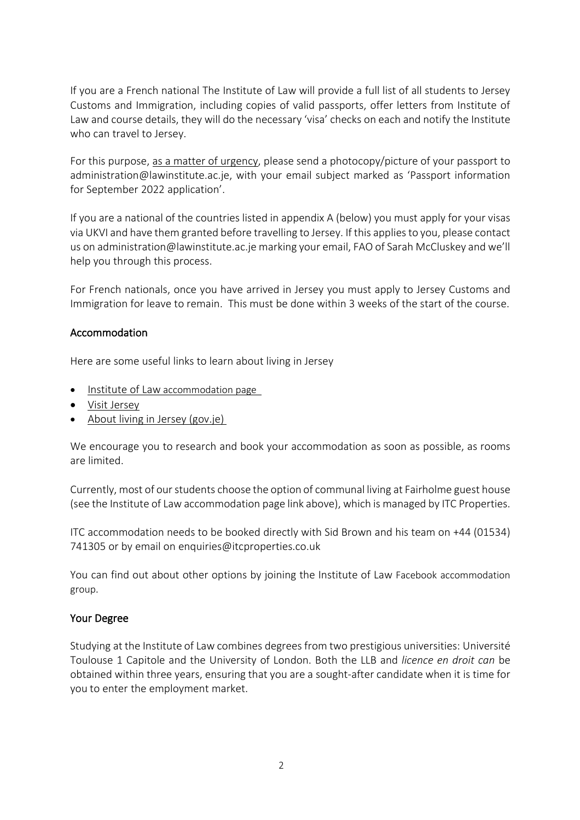If you are a French national The Institute of Law will provide a full list of all students to Jersey Customs and Immigration, including copies of valid passports, offer letters from Institute of Law and course details, they will do the necessary 'visa' checks on each and notify the Institute who can travel to Jersey.

For this purpose, as a matter of urgency, please send a photocopy/picture of your passport to [administration@lawinstitute.ac.je](mailto:administration@lawinstitute.ac.je), with your email subject marked as 'Passport information for September 2022 application'.

If you are a national of the countries listed in appendix A (below) you must apply for your visas via UKVI and have them granted before travelling to Jersey. If this applies to you, please contact us on [administration@lawinstitute.ac.je](mailto:administration@lawinstitute.ac.je) marking your email, FAO of Sarah McCluskey and we'll help you through this process.

For French nationals, once you have arrived in Jersey you must apply to Jersey Customs and Immigration for leave to remain. This must be done within 3 weeks of the start of the course.

## Accommodation

Here are some useful links to learn about living in Jersey

- [Institute of Law](https://www.lawinstitute.ac.je/living-in-jersey/) accommodation page
- [Visit Jersey](https://www.jersey.com/)
- [About living in Jersey \(gov.je\)](https://www.gov.je/LifeEvents/MovingToJersey/LivingInJersey/pages/home.aspx)

We encourage you to research and book your accommodation as soon as possible, as rooms are limited.

Currently, most of our students choose the option of communal living at Fairholme guest house (see the Institute of Law accommodation page link above), which is managed by ITC Properties.

ITC accommodation needs to be booked directly with Sid Brown and his team on +44 (01534) 741305 or by email on [enquiries@itcproperties.co.uk](mailto:enquiries@itcproperties.co.uk)

You can find out about other options by joining the Institute of Law Facebook [accommodation](https://www.facebook.com/groups/334279020356382/)  [group](https://www.facebook.com/groups/334279020356382/).

## Your Degree

Studying at the Institute of Law combines degrees from two prestigious universities: Université Toulouse 1 Capitole and the University of London. Both the LLB and *licence en droit can* be obtained within three years, ensuring that you are a sought-after candidate when it is time for you to enter the employment market.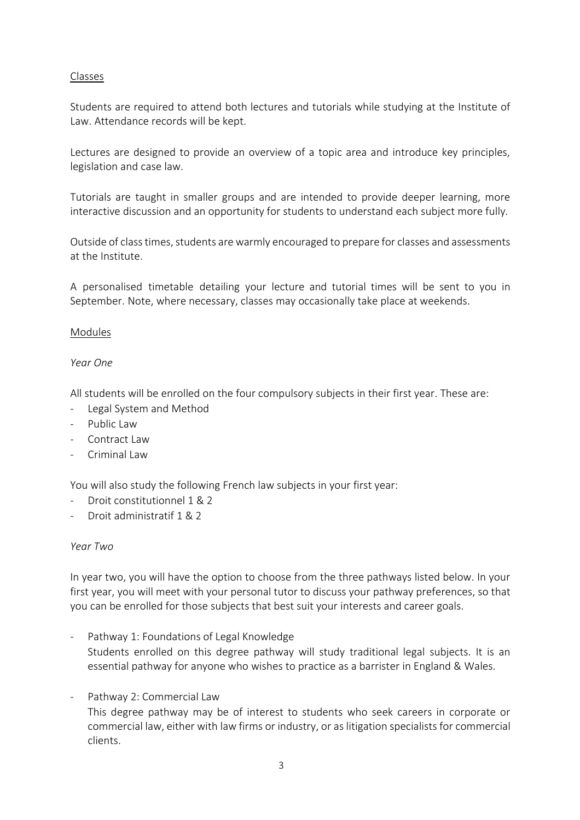#### Classes

Students are required to attend both lectures and tutorials while studying at the Institute of Law. Attendance records will be kept.

Lectures are designed to provide an overview of a topic area and introduce key principles, legislation and case law.

Tutorials are taught in smaller groups and are intended to provide deeper learning, more interactive discussion and an opportunity for students to understand each subject more fully.

Outside of class times, students are warmly encouraged to prepare for classes and assessments at the Institute.

A personalised timetable detailing your lecture and tutorial times will be sent to you in September. Note, where necessary, classes may occasionally take place at weekends.

#### Modules

#### *Year One*

All students will be enrolled on the four compulsory subjects in their first year. These are:

- Legal System and Method
- Public Law
- Contract Law
- Criminal Law

You will also study the following French law subjects in your first year:

- Droit constitutionnel 1 & 2
- Droit administratif 1 & 2

#### *Year Two*

In year two, you will have the option to choose from the three pathways listed below. In your first year, you will meet with your personal tutor to discuss your pathway preferences, so that you can be enrolled for those subjects that best suit your interests and career goals.

- Pathway 1: Foundations of Legal Knowledge Students enrolled on this degree pathway will study traditional legal subjects. It is an essential pathway for anyone who wishes to practice as a barrister in England & Wales.
- Pathway 2: Commercial Law This degree pathway may be of interest to students who seek careers in corporate or commercial law, either with law firms or industry, or as litigation specialists for commercial clients.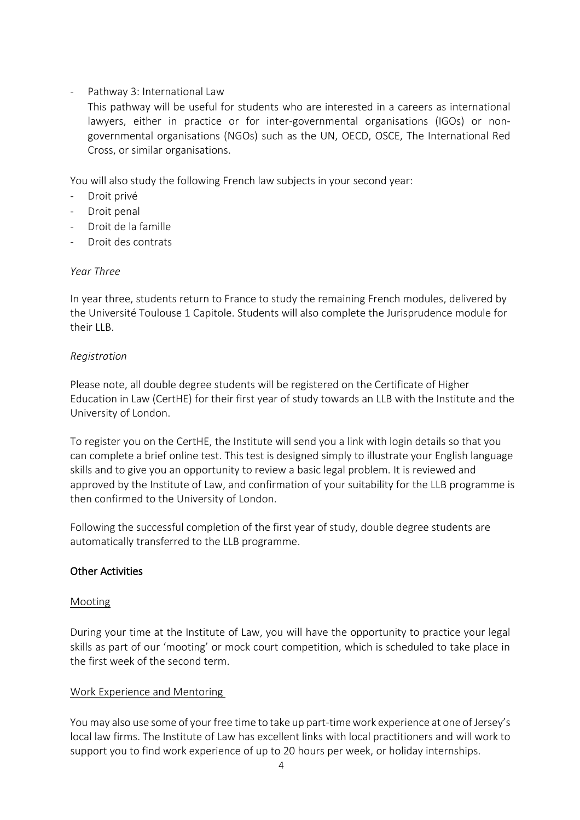# - Pathway 3: International Law

This pathway will be useful for students who are interested in a careers as international lawyers, either in practice or for inter-governmental organisations (IGOs) or nongovernmental organisations (NGOs) such as the UN, OECD, OSCE, The International Red Cross, or similar organisations.

You will also study the following French law subjects in your second year:

- Droit privé
- Droit penal
- Droit de la famille
- Droit des contrats

## *Year Three*

In year three, students return to France to study the remaining French modules, delivered by the Université Toulouse 1 Capitole. Students will also complete the Jurisprudence module for their LLB.

#### *Registration*

Please note, all double degree students will be registered on the Certificate of Higher Education in Law (CertHE) for their first year of study towards an LLB with the Institute and the University of London.

To register you on the CertHE, the Institute will send you a link with login details so that you can complete a brief online test. This test is designed simply to illustrate your English language skills and to give you an opportunity to review a basic legal problem. It is reviewed and approved by the Institute of Law, and confirmation of your suitability for the LLB programme is then confirmed to the University of London.

Following the successful completion of the first year of study, double degree students are automatically transferred to the LLB programme.

## Other Activities

## Mooting

During your time at the Institute of Law, you will have the opportunity to practice your legal skills as part of our 'mooting' or mock court competition, which is scheduled to take place in the first week of the second term.

## Work Experience and Mentoring

You may also use some of your free time to take up part-time work experience at one of Jersey's local law firms. The Institute of Law has excellent links with local practitioners and will work to support you to find work experience of up to 20 hours per week, or holiday internships.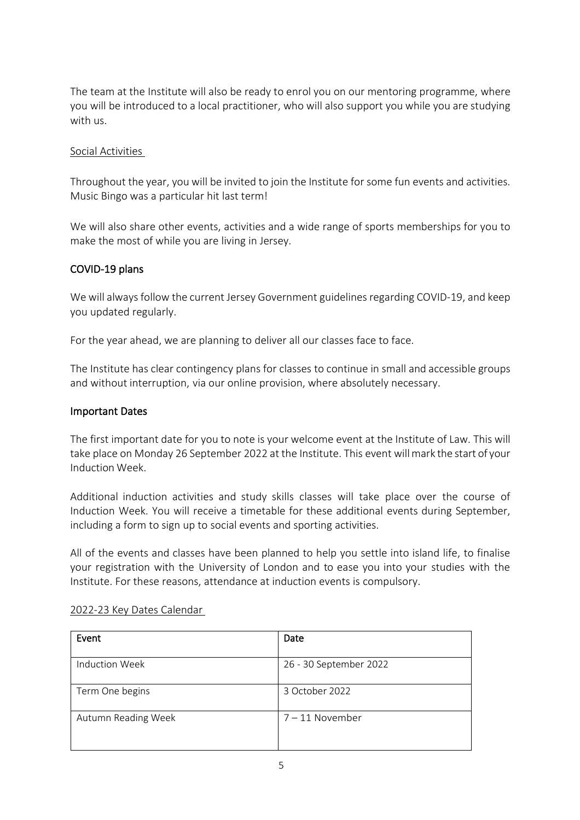The team at the Institute will also be ready to enrol you on our mentoring programme, where you will be introduced to a local practitioner, who will also support you while you are studying with us.

### Social Activities

Throughout the year, you will be invited to join the Institute for some fun events and activities. Music Bingo was a particular hit last term!

We will also share other events, activities and a wide range of sports memberships for you to make the most of while you are living in Jersey.

#### COVID-19 plans

We will always follow the current Jersey Government guidelines regarding COVID-19, and keep you updated regularly.

For the year ahead, we are planning to deliver all our classes face to face.

The Institute has clear contingency plans for classes to continue in small and accessible groups and without interruption, via our online provision, where absolutely necessary.

#### Important Dates

The first important date for you to note is your welcome event at the Institute of Law. This will take place on Monday 26 September 2022 at the Institute. This event willmark the start of your Induction Week.

Additional induction activities and study skills classes will take place over the course of Induction Week. You will receive a timetable for these additional events during September, including a form to sign up to social events and sporting activities.

All of the events and classes have been planned to help you settle into island life, to finalise your registration with the University of London and to ease you into your studies with the Institute. For these reasons, attendance at induction events is compulsory.

| Event                 | Date                   |
|-----------------------|------------------------|
| <b>Induction Week</b> | 26 - 30 September 2022 |
|                       |                        |
| Term One begins       | 3 October 2022         |
|                       |                        |
| Autumn Reading Week   | $7 - 11$ November      |
|                       |                        |
|                       |                        |

#### 2022-23 Key Dates Calendar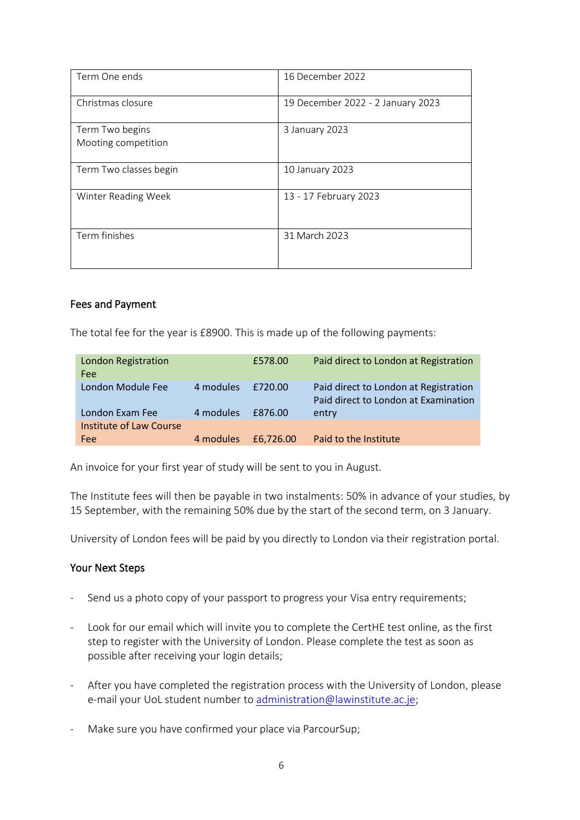| Term One ends                          | 16 December 2022                  |
|----------------------------------------|-----------------------------------|
| Christmas closure                      | 19 December 2022 - 2 January 2023 |
| Term Two begins<br>Mooting competition | 3 January 2023                    |
| Term Two classes begin                 | 10 January 2023                   |
| Winter Reading Week                    | 13 - 17 February 2023             |
| Term finishes                          | 31 March 2023                     |

#### Fees and Payment

The total fee for the year is £8900. This is made up of the following payments:

| London Registration<br>Fee |           | £578.00   | Paid direct to London at Registration                                         |
|----------------------------|-----------|-----------|-------------------------------------------------------------------------------|
| London Module Fee          | 4 modules | £720.00   | Paid direct to London at Registration<br>Paid direct to London at Examination |
| London Exam Fee            | 4 modules | £876.00   | entry                                                                         |
| Institute of Law Course    |           |           |                                                                               |
| Fee                        | 4 modules | £6.726.00 | Paid to the Institute                                                         |

An invoice for your first year of study will be sent to you in August.

The Institute fees will then be payable in two instalments: 50% in advance of your studies, by 15 September, with the remaining 50% due by the start of the second term, on 3 January.

University of London fees will be paid by you directly to London via their registration portal.

#### Your Next Steps

- Send us a photo copy of your passport to progress your Visa entry requirements;
- Look for our email which will invite you to complete the CertHE test online, as the first step to register with the University of London. Please complete the test as soon as possible after receiving your login details;
- After you have completed the registration process with the University of London, please e-mail your UoL student number to [administration@lawinstitute.ac.je;](mailto:administration@lawinstitute.ac.je)
- Make sure you have confirmed your place via ParcourSup;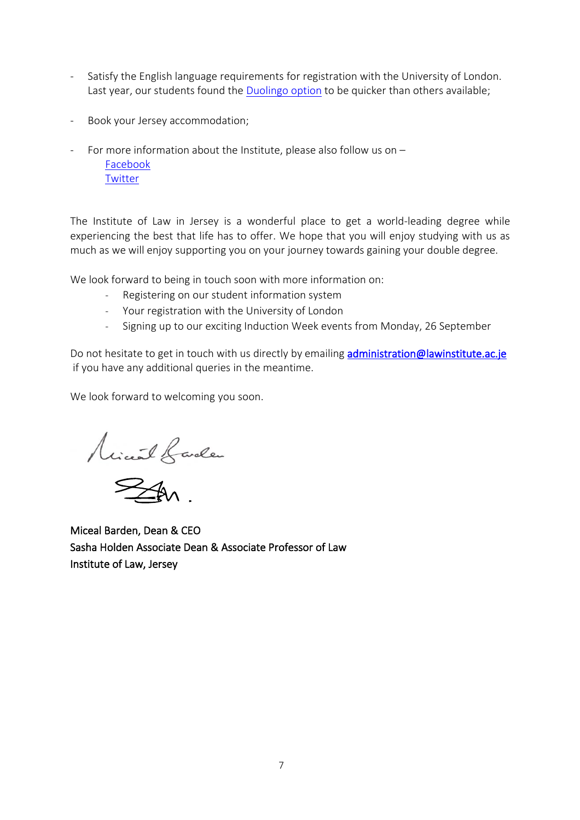- Satisfy the English language requirements for registration with the University of London. Last year, our students found the [Duolingo option](https://london.ac.uk/applications/how-apply/english-requirements) to be quicker than others available;
- Book your Jersey accommodation;
- For more information about the Institute, please also follow us on  $-$ [Facebook](https://www.facebook.com/InstituteofLawJsy/) **[Twitter](https://twitter.com/InstofLawJersey)**

The Institute of Law in Jersey is a wonderful place to get a world-leading degree while experiencing the best that life has to offer. We hope that you will enjoy studying with us as much as we will enjoy supporting you on your journey towards gaining your double degree.

We look forward to being in touch soon with more information on:

- Registering on our student information system
- Your registration with the University of London
- Signing up to our exciting Induction Week events from Monday, 26 September

Do not hesitate to get in touch with us directly by emailing *administration@lawinstitute.ac.je* if you have any additional queries in the meantime.

We look forward to welcoming you soon.

Minut banden

Miceal Barden, Dean & CEO Sasha Holden Associate Dean & Associate Professor of Law Institute of Law, Jersey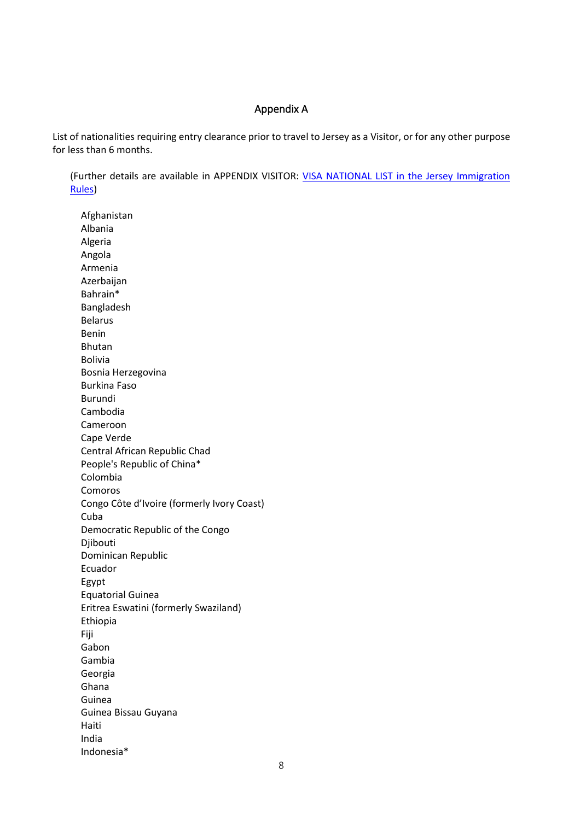#### Appendix A

List of nationalities requiring entry clearance prior to travel to Jersey as a Visitor, or for any other purpose for less than 6 months.

(Further details are available in APPENDIX VISITOR: [VISA NATIONAL LIST in the Jersey Immigration](https://www.gov.je/SiteCollectionDocuments/Travel%20and%20transport/ID%20Jersey%20immigration%20rules.pdf)  [Rules\)](https://www.gov.je/SiteCollectionDocuments/Travel%20and%20transport/ID%20Jersey%20immigration%20rules.pdf)

Afghanistan Albania Algeria Angola Armenia Azerbaijan Bahrain\* Bangladesh Belarus Benin Bhutan Bolivia Bosnia Herzegovina Burkina Faso Burundi Cambodia Cameroon Cape Verde Central African Republic Chad People's Republic of China\* Colombia Comoros Congo Côte d'Ivoire (formerly Ivory Coast) Cuba Democratic Republic of the Congo Djibouti Dominican Republic Ecuador Egypt Equatorial Guinea Eritrea Eswatini (formerly Swaziland) Ethiopia Fiji Gabon Gambia Georgia Ghana Guinea Guinea Bissau Guyana Haiti India Indonesia\*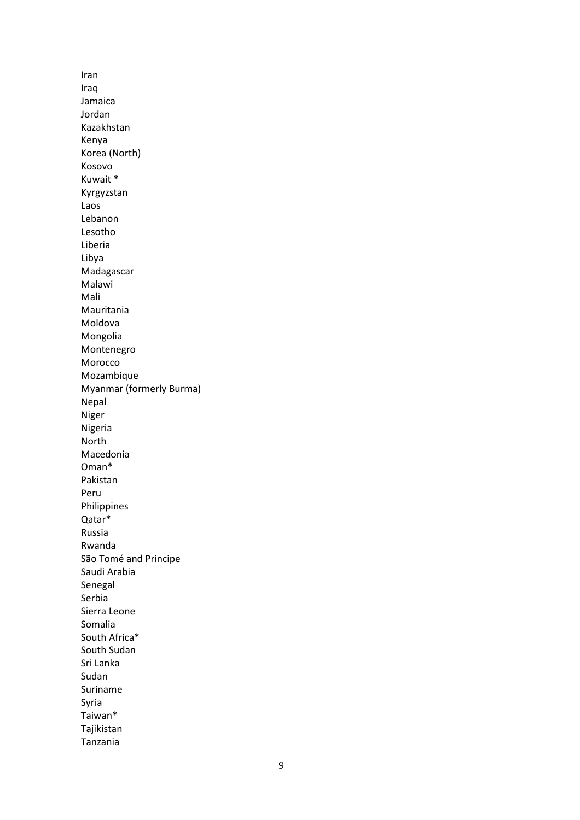Iran Iraq Jamaica Jordan Kazakhstan Kenya Korea (North) Kosovo Kuwait \* Kyrgyzstan Laos Lebanon Lesotho Liberia Libya Madagascar Malawi Mali Mauritania Moldova Mongolia Montenegro Morocco Mozambique Myanmar (formerly Burma) Nepal Niger Nigeria North Macedonia Oman\* Pakistan Peru Philippines Qatar\* Russia Rwanda São Tomé and Principe Saudi Arabia Senegal Serbia Sierra Leone Somalia South Africa\* South Sudan Sri Lanka Sudan Suriname Syria Taiwan\* Tajikistan Tanzania